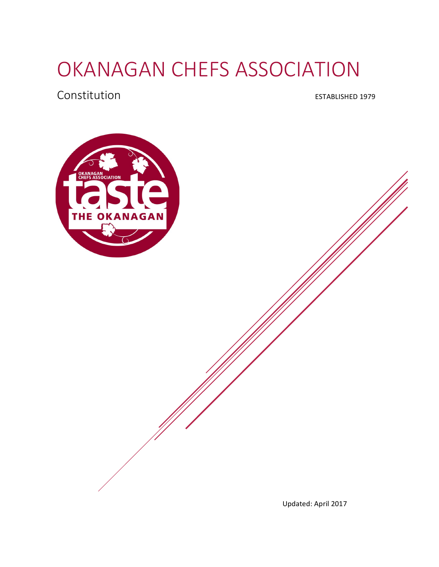# OKANAGAN CHEFS ASSOCIATION

#### Constitution **ESTABLISHED** 1979



Updated: April 2017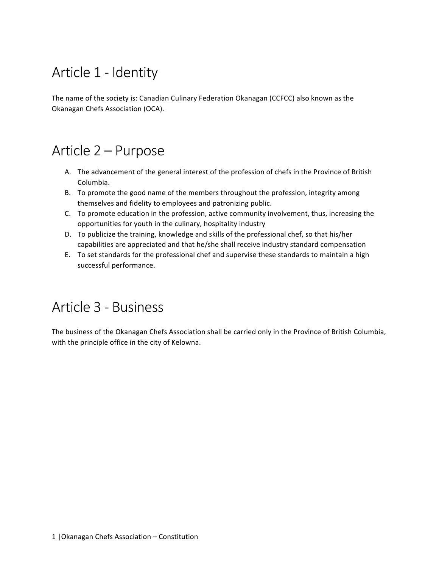# Article 1 - Identity

The name of the society is: Canadian Culinary Federation Okanagan (CCFCC) also known as the Okanagan Chefs Association (OCA).

#### Article 2 – Purpose

- A. The advancement of the general interest of the profession of chefs in the Province of British Columbia.
- B. To promote the good name of the members throughout the profession, integrity among themselves and fidelity to employees and patronizing public.
- C. To promote education in the profession, active community involvement, thus, increasing the opportunities for youth in the culinary, hospitality industry
- D. To publicize the training, knowledge and skills of the professional chef, so that his/her capabilities are appreciated and that he/she shall receive industry standard compensation
- E. To set standards for the professional chef and supervise these standards to maintain a high successful performance.

# Article 3 - Business

The business of the Okanagan Chefs Association shall be carried only in the Province of British Columbia, with the principle office in the city of Kelowna.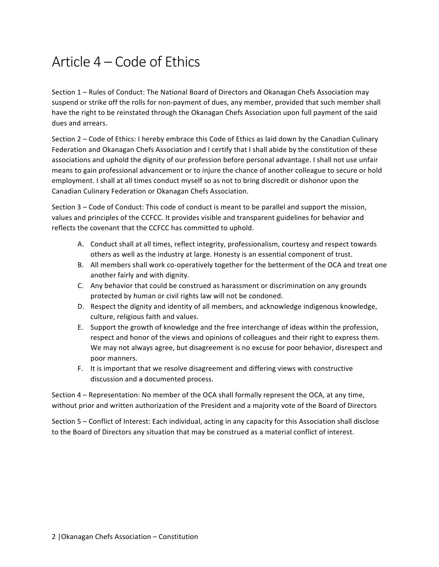# Article 4 – Code of Ethics

Section 1 – Rules of Conduct: The National Board of Directors and Okanagan Chefs Association may suspend or strike off the rolls for non-payment of dues, any member, provided that such member shall have the right to be reinstated through the Okanagan Chefs Association upon full payment of the said dues and arrears.

Section 2 – Code of Ethics: I hereby embrace this Code of Ethics as laid down by the Canadian Culinary Federation and Okanagan Chefs Association and I certify that I shall abide by the constitution of these associations and uphold the dignity of our profession before personal advantage. I shall not use unfair means to gain professional advancement or to injure the chance of another colleague to secure or hold employment. I shall at all times conduct myself so as not to bring discredit or dishonor upon the Canadian Culinary Federation or Okanagan Chefs Association.

Section  $3 -$  Code of Conduct: This code of conduct is meant to be parallel and support the mission, values and principles of the CCFCC. It provides visible and transparent guidelines for behavior and reflects the covenant that the CCFCC has committed to uphold.

- A. Conduct shall at all times, reflect integrity, professionalism, courtesy and respect towards others as well as the industry at large. Honesty is an essential component of trust.
- B. All members shall work co-operatively together for the betterment of the OCA and treat one another fairly and with dignity.
- C. Any behavior that could be construed as harassment or discrimination on any grounds protected by human or civil rights law will not be condoned.
- D. Respect the dignity and identity of all members, and acknowledge indigenous knowledge, culture, religious faith and values.
- E. Support the growth of knowledge and the free interchange of ideas within the profession, respect and honor of the views and opinions of colleagues and their right to express them. We may not always agree, but disagreement is no excuse for poor behavior, disrespect and poor manners.
- F. It is important that we resolve disagreement and differing views with constructive discussion and a documented process.

Section 4 - Representation: No member of the OCA shall formally represent the OCA, at any time, without prior and written authorization of the President and a majority vote of the Board of Directors

Section 5 – Conflict of Interest: Each individual, acting in any capacity for this Association shall disclose to the Board of Directors any situation that may be construed as a material conflict of interest.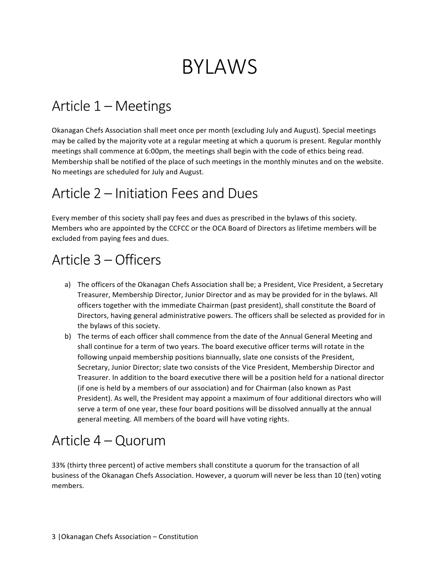# BYLAWS

# Article 1 – Meetings

Okanagan Chefs Association shall meet once per month (excluding July and August). Special meetings may be called by the majority vote at a regular meeting at which a quorum is present. Regular monthly meetings shall commence at 6:00pm, the meetings shall begin with the code of ethics being read. Membership shall be notified of the place of such meetings in the monthly minutes and on the website. No meetings are scheduled for July and August.

## Article 2 – Initiation Fees and Dues

Every member of this society shall pay fees and dues as prescribed in the bylaws of this society. Members who are appointed by the CCFCC or the OCA Board of Directors as lifetime members will be excluded from paying fees and dues.

# Article 3 – Officers

- a) The officers of the Okanagan Chefs Association shall be; a President, Vice President, a Secretary Treasurer, Membership Director, Junior Director and as may be provided for in the bylaws. All officers together with the immediate Chairman (past president), shall constitute the Board of Directors, having general administrative powers. The officers shall be selected as provided for in the bylaws of this society.
- b) The terms of each officer shall commence from the date of the Annual General Meeting and shall continue for a term of two years. The board executive officer terms will rotate in the following unpaid membership positions biannually, slate one consists of the President, Secretary, Junior Director; slate two consists of the Vice President, Membership Director and Treasurer. In addition to the board executive there will be a position held for a national director (if one is held by a members of our association) and for Chairman (also known as Past President). As well, the President may appoint a maximum of four additional directors who will serve a term of one year, these four board positions will be dissolved annually at the annual general meeting. All members of the board will have voting rights.

# Article 4 – Quorum

33% (thirty three percent) of active members shall constitute a quorum for the transaction of all business of the Okanagan Chefs Association. However, a quorum will never be less than 10 (ten) voting members.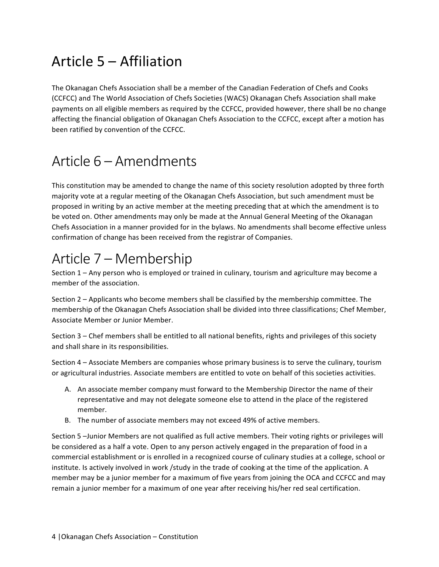# Article  $5 -$  Affiliation

The Okanagan Chefs Association shall be a member of the Canadian Federation of Chefs and Cooks (CCFCC) and The World Association of Chefs Societies (WACS) Okanagan Chefs Association shall make payments on all eligible members as required by the CCFCC, provided however, there shall be no change affecting the financial obligation of Okanagan Chefs Association to the CCFCC, except after a motion has been ratified by convention of the CCFCC.

# Article 6 – Amendments

This constitution may be amended to change the name of this society resolution adopted by three forth majority vote at a regular meeting of the Okanagan Chefs Association, but such amendment must be proposed in writing by an active member at the meeting preceding that at which the amendment is to be voted on. Other amendments may only be made at the Annual General Meeting of the Okanagan Chefs Association in a manner provided for in the bylaws. No amendments shall become effective unless confirmation of change has been received from the registrar of Companies.

# Article 7 – Membership

Section  $1 -$  Any person who is employed or trained in culinary, tourism and agriculture may become a member of the association.

Section 2 – Applicants who become members shall be classified by the membership committee. The membership of the Okanagan Chefs Association shall be divided into three classifications; Chef Member, Associate Member or Junior Member.

Section  $3$  – Chef members shall be entitled to all national benefits, rights and privileges of this society and shall share in its responsibilities.

Section 4 – Associate Members are companies whose primary business is to serve the culinary, tourism or agricultural industries. Associate members are entitled to vote on behalf of this societies activities.

- A. An associate member company must forward to the Membership Director the name of their representative and may not delegate someone else to attend in the place of the registered member.
- B. The number of associate members may not exceed 49% of active members.

Section 5 -Junior Members are not qualified as full active members. Their voting rights or privileges will be considered as a half a vote. Open to any person actively engaged in the preparation of food in a commercial establishment or is enrolled in a recognized course of culinary studies at a college, school or institute. Is actively involved in work /study in the trade of cooking at the time of the application. A member may be a junior member for a maximum of five years from joining the OCA and CCFCC and may remain a junior member for a maximum of one year after receiving his/her red seal certification.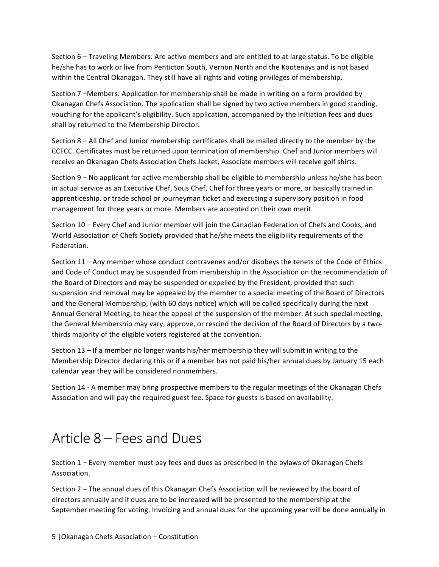Section 6 – Traveling Members: Are active members and are entitled to at large status. To be eligible he/she has to work or live from Penticton South, Vernon North and the Kootenays and is not based within the Central Okanagan. They still have all rights and voting privileges of membership.

Section 7 –Members: Application for membership shall be made in writing on a form provided by Okanagan Chefs Association. The application shall be signed by two active members in good standing, vouching for the applicant's eligibility. Such application, accompanied by the initiation fees and dues shall by returned to the Membership Director.

Section  $8 -$  All Chef and Junior membership certificates shall be mailed directly to the member by the CCFCC. Certificates must be returned upon termination of membership. Chef and Junior members will receive an Okanagan Chefs Association Chefs Jacket, Associate members will receive golf shirts.

Section  $9 - No$  applicant for active membership shall be eligible to membership unless he/she has been in actual service as an Executive Chef, Sous Chef, Chef for three years or more, or basically trained in apprenticeship, or trade school or journeyman ticket and executing a supervisory position in food management for three years or more. Members are accepted on their own merit.

Section 10 – Every Chef and Junior member will join the Canadian Federation of Chefs and Cooks, and World Association of Chefs Society provided that he/she meets the eligibility requirements of the Federation.

Section 11 – Any member whose conduct contravenes and/or disobeys the tenets of the Code of Ethics and Code of Conduct may be suspended from membership in the Association on the recommendation of the Board of Directors and may be suspended or expelled by the President, provided that such suspension and removal may be appealed by the member to a special meeting of the Board of Directors and the General Membership, (with 60 days notice) which will be called specifically during the next Annual General Meeting, to hear the appeal of the suspension of the member. At such special meeting, the General Membership may vary, approve, or rescind the decision of the Board of Directors by a twothirds majority of the eligible voters registered at the convention.

Section  $13 -$  If a member no longer wants his/her membership they will submit in writing to the Membership Director declaring this or if a member has not paid his/her annual dues by January 15 each calendar year they will be considered nonmembers.

Section 14 - A member may bring prospective members to the regular meetings of the Okanagan Chefs Association and will pay the required guest fee. Space for guests is based on availability.

# Article 8 – Fees and Dues

Section  $1$  – Every member must pay fees and dues as prescribed in the bylaws of Okanagan Chefs Association.

Section  $2$  – The annual dues of this Okanagan Chefs Association will be reviewed by the board of directors annually and if dues are to be increased will be presented to the membership at the September meeting for voting. Invoicing and annual dues for the upcoming year will be done annually in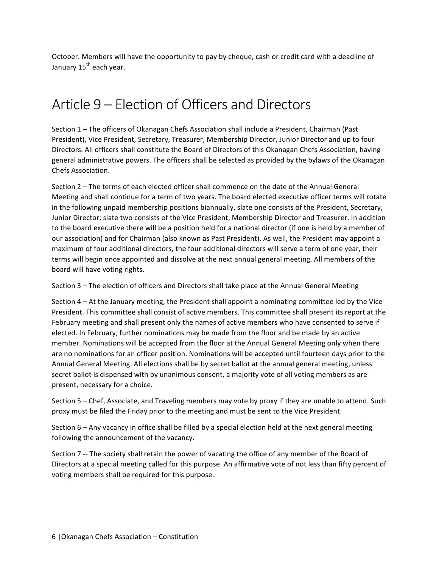October. Members will have the opportunity to pay by cheque, cash or credit card with a deadline of January 15<sup>th</sup> each year.

# Article 9 – Election of Officers and Directors

Section 1 - The officers of Okanagan Chefs Association shall include a President, Chairman (Past President), Vice President, Secretary, Treasurer, Membership Director, Junior Director and up to four Directors. All officers shall constitute the Board of Directors of this Okanagan Chefs Association, having general administrative powers. The officers shall be selected as provided by the bylaws of the Okanagan Chefs Association.

Section 2 – The terms of each elected officer shall commence on the date of the Annual General Meeting and shall continue for a term of two years. The board elected executive officer terms will rotate in the following unpaid membership positions biannually, slate one consists of the President, Secretary, Junior Director; slate two consists of the Vice President, Membership Director and Treasurer. In addition to the board executive there will be a position held for a national director (if one is held by a member of our association) and for Chairman (also known as Past President). As well, the President may appoint a maximum of four additional directors, the four additional directors will serve a term of one year, their terms will begin once appointed and dissolve at the next annual general meeting. All members of the board will have voting rights.

Section 3 - The election of officers and Directors shall take place at the Annual General Meeting

Section  $4 - At$  the January meeting, the President shall appoint a nominating committee led by the Vice President. This committee shall consist of active members. This committee shall present its report at the February meeting and shall present only the names of active members who have consented to serve if elected. In February, further nominations may be made from the floor and be made by an active member. Nominations will be accepted from the floor at the Annual General Meeting only when there are no nominations for an officer position. Nominations will be accepted until fourteen days prior to the Annual General Meeting. All elections shall be by secret ballot at the annual general meeting, unless secret ballot is dispensed with by unanimous consent, a majority vote of all voting members as are present, necessary for a choice.

Section 5 – Chef, Associate, and Traveling members may vote by proxy if they are unable to attend. Such proxy must be filed the Friday prior to the meeting and must be sent to the Vice President.

Section  $6 -$  Any vacancy in office shall be filled by a special election held at the next general meeting following the announcement of the vacancy.

Section 7 -- The society shall retain the power of vacating the office of any member of the Board of Directors at a special meeting called for this purpose. An affirmative vote of not less than fifty percent of voting members shall be required for this purpose.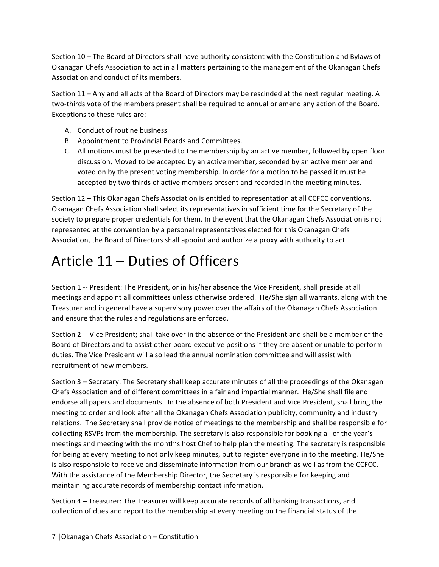Section 10 – The Board of Directors shall have authority consistent with the Constitution and Bylaws of Okanagan Chefs Association to act in all matters pertaining to the management of the Okanagan Chefs Association and conduct of its members.

Section 11 – Any and all acts of the Board of Directors may be rescinded at the next regular meeting. A two-thirds vote of the members present shall be required to annual or amend any action of the Board. Exceptions to these rules are:

- A. Conduct of routine business
- B. Appointment to Provincial Boards and Committees.
- C. All motions must be presented to the membership by an active member, followed by open floor discussion, Moved to be accepted by an active member, seconded by an active member and voted on by the present voting membership. In order for a motion to be passed it must be accepted by two thirds of active members present and recorded in the meeting minutes.

Section 12 – This Okanagan Chefs Association is entitled to representation at all CCFCC conventions. Okanagan Chefs Association shall select its representatives in sufficient time for the Secretary of the society to prepare proper credentials for them. In the event that the Okanagan Chefs Association is not represented at the convention by a personal representatives elected for this Okanagan Chefs Association, the Board of Directors shall appoint and authorize a proxy with authority to act.

# Article  $11 -$  Duties of Officers

Section 1 -- President: The President, or in his/her absence the Vice President, shall preside at all meetings and appoint all committees unless otherwise ordered. He/She sign all warrants, along with the Treasurer and in general have a supervisory power over the affairs of the Okanagan Chefs Association and ensure that the rules and regulations are enforced.

Section 2 -- Vice President; shall take over in the absence of the President and shall be a member of the Board of Directors and to assist other board executive positions if they are absent or unable to perform duties. The Vice President will also lead the annual nomination committee and will assist with recruitment of new members.

Section 3 - Secretary: The Secretary shall keep accurate minutes of all the proceedings of the Okanagan Chefs Association and of different committees in a fair and impartial manner. He/She shall file and endorse all papers and documents. In the absence of both President and Vice President, shall bring the meeting to order and look after all the Okanagan Chefs Association publicity, community and industry relations. The Secretary shall provide notice of meetings to the membership and shall be responsible for collecting RSVPs from the membership. The secretary is also responsible for booking all of the year's meetings and meeting with the month's host Chef to help plan the meeting. The secretary is responsible for being at every meeting to not only keep minutes, but to register everyone in to the meeting. He/She is also responsible to receive and disseminate information from our branch as well as from the CCFCC. With the assistance of the Membership Director, the Secretary is responsible for keeping and maintaining accurate records of membership contact information.

Section 4 – Treasurer: The Treasurer will keep accurate records of all banking transactions, and collection of dues and report to the membership at every meeting on the financial status of the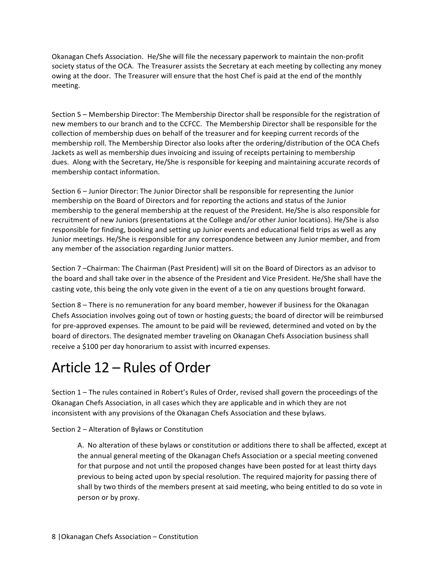Okanagan Chefs Association. He/She will file the necessary paperwork to maintain the non-profit society status of the OCA. The Treasurer assists the Secretary at each meeting by collecting any money owing at the door. The Treasurer will ensure that the host Chef is paid at the end of the monthly meeting.

Section 5 - Membership Director: The Membership Director shall be responsible for the registration of new members to our branch and to the CCFCC. The Membership Director shall be responsible for the collection of membership dues on behalf of the treasurer and for keeping current records of the membership roll. The Membership Director also looks after the ordering/distribution of the OCA Chefs Jackets as well as membership dues invoicing and issuing of receipts pertaining to membership dues. Along with the Secretary, He/She is responsible for keeping and maintaining accurate records of membership contact information.

Section 6 - Junior Director: The Junior Director shall be responsible for representing the Junior membership on the Board of Directors and for reporting the actions and status of the Junior membership to the general membership at the request of the President. He/She is also responsible for recruitment of new Juniors (presentations at the College and/or other Junior locations). He/She is also responsible for finding, booking and setting up Junior events and educational field trips as well as any Junior meetings. He/She is responsible for any correspondence between any Junior member, and from any member of the association regarding Junior matters.

Section 7 -Chairman: The Chairman (Past President) will sit on the Board of Directors as an advisor to the board and shall take over in the absence of the President and Vice President. He/She shall have the casting vote, this being the only vote given in the event of a tie on any questions brought forward.

Section 8 – There is no remuneration for any board member, however if business for the Okanagan Chefs Association involves going out of town or hosting guests; the board of director will be reimbursed for pre-approved expenses. The amount to be paid will be reviewed, determined and voted on by the board of directors. The designated member traveling on Okanagan Chefs Association business shall receive a \$100 per day honorarium to assist with incurred expenses.

# Article 12 – Rules of Order

Section 1 – The rules contained in Robert's Rules of Order, revised shall govern the proceedings of the Okanagan Chefs Association, in all cases which they are applicable and in which they are not inconsistent with any provisions of the Okanagan Chefs Association and these bylaws.

#### Section 2 – Alteration of Bylaws or Constitution

A. No alteration of these bylaws or constitution or additions there to shall be affected, except at the annual general meeting of the Okanagan Chefs Association or a special meeting convened for that purpose and not until the proposed changes have been posted for at least thirty days previous to being acted upon by special resolution. The required majority for passing there of shall by two thirds of the members present at said meeting, who being entitled to do so vote in person or by proxy.